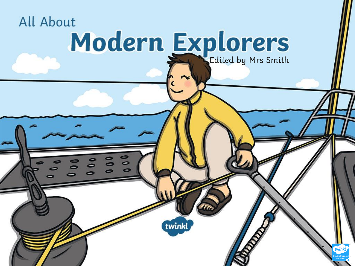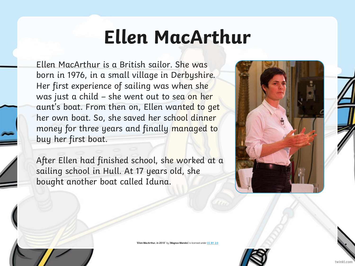## **Ellen MacArthur**

Ellen MacArthur is a British sailor. She was born in 1976, in a small village in Derbyshire. Her first experience of sailing was when she was just a child – she went out to sea on her aunt's boat. From then on, Ellen wanted to get her own boat. So, she saved her school dinner money for three years and finally managed to buy her first boat.

After Ellen had finished school, she worked at a sailing school in Hull. At 17 years old, she bought another boat called Iduna.





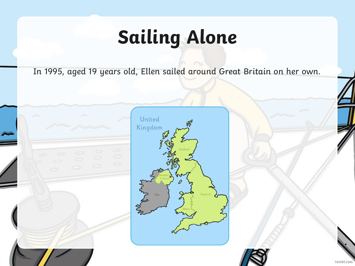# **Sailing Alone**

In 1995, aged 19 years old, Ellen sailed around Great Britain on her own.





twinkl.com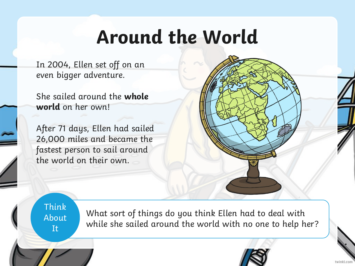#### **Around the World**

In 2004, Ellen set off on an even bigger adventure.

She sailed around the **whole world** on her own!

After 71 days, Ellen had sailed 26,000 miles and became the fastest person to sail around the world on their own.



Think About It

What sort of things do you think Ellen had to deal with while she sailed around the world with no one to help her?

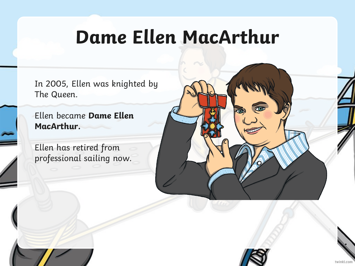#### **Dame Ellen MacArthur**

In 2005, Ellen was knighted by The Queen.

Ellen became **Dame Ellen MacArthur.**

Ellen has retired from professional sailing now.



twinkl.com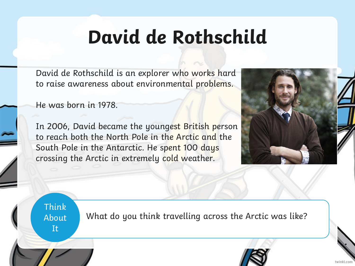## **David de Rothschild**

David de Rothschild is an explorer who works hard to raise awareness about environmental problems.

He was born in 1978.

In 2006, David became the youngest British person to reach both the North Pole in the Arctic and the South Pole in the Antarctic. He spent 100 days crossing the Arctic in extremely cold weather.



Think **About** It

What do you think travelling across the Arctic was like?



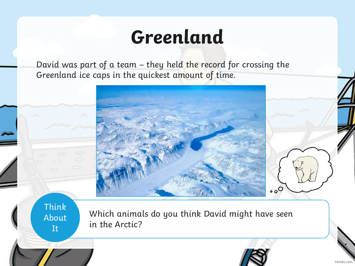#### **Greenland**

David was part of a team – they held the record for crossing the Greenland ice caps in the quickest amount of time.



Think About It

Which animals do you think David might have seen in the Arctic?



twinkl.com